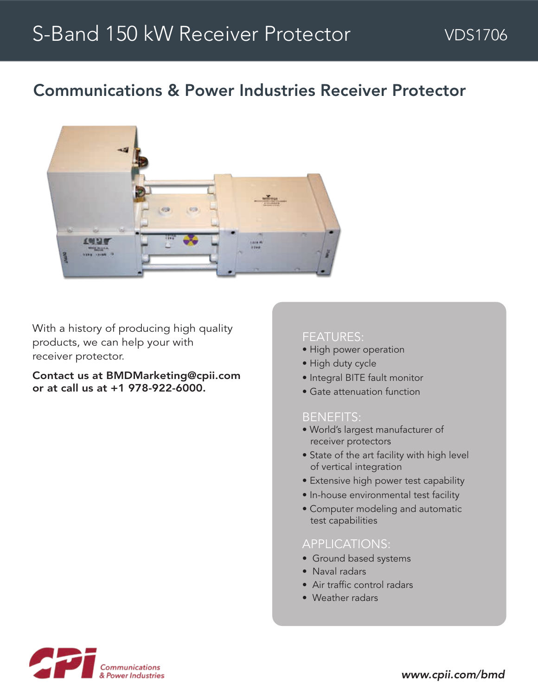# Communications & Power Industries Receiver Protector



With a history of producing high quality products, we can help your with receiver protector.

Contact us at BMDMarketing@cpii.com or at call us at +1 978-922-6000.

#### FEATURES:

- High power operation
- High duty cycle
- Integral BITE fault monitor
- Gate attenuation function

#### BENEFITS:

- World's largest manufacturer of receiver protectors
- State of the art facility with high level of vertical integration
- Extensive high power test capability
- In-house environmental test facility
- Computer modeling and automatic test capabilities

### APPLICATIONS:

- Ground based systems
- Naval radars
- Air traffic control radars
- Weather radars